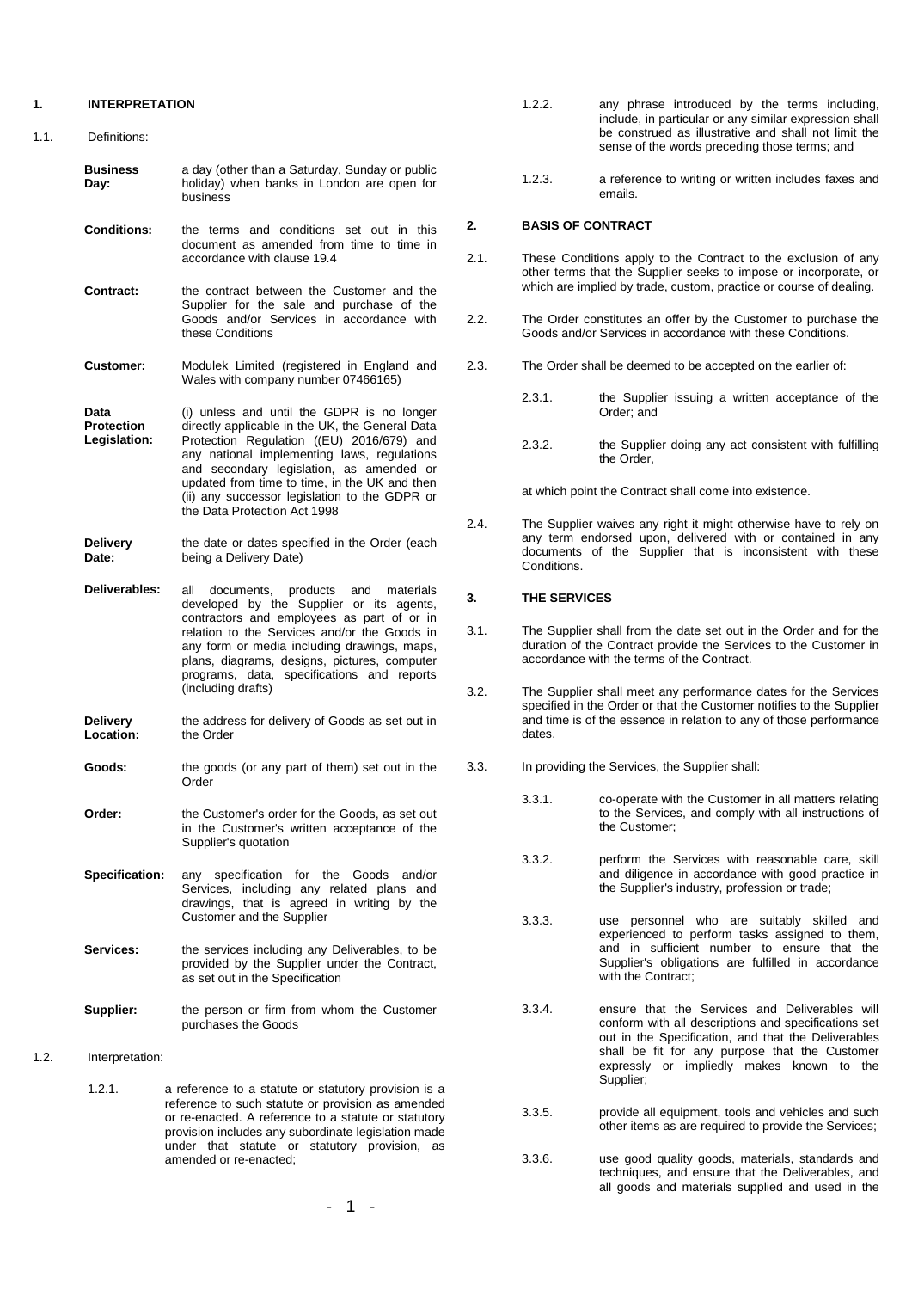#### **1. INTERPRETATION**

| 1.1. | Definitions:                              |                                                                                                                                                                                                                                                                                                                                                                         |
|------|-------------------------------------------|-------------------------------------------------------------------------------------------------------------------------------------------------------------------------------------------------------------------------------------------------------------------------------------------------------------------------------------------------------------------------|
|      | <b>Business</b><br>Day:                   | a day (other than a Saturday, Sunday or public<br>holiday) when banks in London are open for<br>business                                                                                                                                                                                                                                                                |
|      | <b>Conditions:</b>                        | the terms and conditions set out in this<br>document as amended from time to time in<br>accordance with clause 19.4                                                                                                                                                                                                                                                     |
|      | Contract:                                 | the contract between the Customer and the<br>Supplier for the sale and purchase of the<br>Goods and/or Services in accordance with<br>these Conditions                                                                                                                                                                                                                  |
|      | <b>Customer:</b>                          | Modulek Limited (registered in England and<br>Wales with company number 07466165)                                                                                                                                                                                                                                                                                       |
|      | Data<br><b>Protection</b><br>Legislation: | (i) unless and until the GDPR is no longer<br>directly applicable in the UK, the General Data<br>Protection Regulation ((EU) 2016/679) and<br>any national implementing laws, regulations<br>and secondary legislation, as amended or<br>updated from time to time, in the UK and then<br>(ii) any successor legislation to the GDPR or<br>the Data Protection Act 1998 |
|      | Delivery<br>Date:                         | the date or dates specified in the Order (each<br>being a Delivery Date)                                                                                                                                                                                                                                                                                                |
|      | Deliverables:                             | documents, products and materials<br>all<br>developed by the Supplier or its agents,<br>contractors and employees as part of or in<br>relation to the Services and/or the Goods in<br>any form or media including drawings, maps,<br>plans, diagrams, designs, pictures, computer<br>programs, data, specifications and reports<br>(including drafts)                   |
|      | Delivery<br>Location:                     | the address for delivery of Goods as set out in<br>the Order                                                                                                                                                                                                                                                                                                            |
|      | Goods:                                    | the goods (or any part of them) set out in the<br>Order                                                                                                                                                                                                                                                                                                                 |
|      | Order:                                    | the Customer's order for the Goods, as set out<br>in the Customer's written acceptance of the<br>Supplier's quotation                                                                                                                                                                                                                                                   |
|      | <b>Specification:</b>                     | any specification for the Goods<br>and/or<br>Services, including any related plans and<br>drawings, that is agreed in writing by the<br>Customer and the Supplier                                                                                                                                                                                                       |
|      | Services:                                 | the services including any Deliverables, to be<br>provided by the Supplier under the Contract,<br>as set out in the Specification                                                                                                                                                                                                                                       |
|      | Supplier:                                 | the person or firm from whom the Customer<br>purchases the Goods                                                                                                                                                                                                                                                                                                        |
| 1.2. | Interpretation:                           |                                                                                                                                                                                                                                                                                                                                                                         |
|      | 1.2.1.                                    | a reference to a statute or statutory provision is a<br>reference to such statute or provision as amended<br>or re-enacted. A reference to a statute or statutory<br>provision includes any subordinate legislation made<br>under that statute or statutory provision, as                                                                                               |

amended or re-enacted;

| 1.2.2. | any phrase introduced by the terms including.          |
|--------|--------------------------------------------------------|
|        | include, in particular or any similar expression shall |
|        | be construed as illustrative and shall not limit the   |
|        | sense of the words preceding those terms; and          |

1.2.3. a reference to writing or written includes faxes and emails.

# **2. BASIS OF CONTRACT**

- 2.1. These Conditions apply to the Contract to the exclusion of any other terms that the Supplier seeks to impose or incorporate, or which are implied by trade, custom, practice or course of dealing.
- 2.2. The Order constitutes an offer by the Customer to purchase the Goods and/or Services in accordance with these Conditions.
- 2.3. The Order shall be deemed to be accepted on the earlier of:
	- 2.3.1. **the Supplier issuing a written acceptance of the** Order; and
	- 2.3.2. the Supplier doing any act consistent with fulfilling the Order,

at which point the Contract shall come into existence.

<span id="page-0-0"></span>2.4. The Supplier waives any right it might otherwise have to rely on any term endorsed upon, delivered with or contained in any documents of the Supplier that is inconsistent with these Conditions.

# **3. THE SERVICES**

- 3.1. The Supplier shall from the date set out in the Order and for the duration of the Contract provide the Services to the Customer in accordance with the terms of the Contract.
- 3.2. The Supplier shall meet any performance dates for the Services specified in the Order or that the Customer notifies to the Supplier and time is of the essence in relation to any of those performance dates.
- 3.3. In providing the Services, the Supplier shall:
	- 3.3.1. co-operate with the Customer in all matters relating to the Services, and comply with all instructions of the Customer;
	- 3.3.2. perform the Services with reasonable care, skill and diligence in accordance with good practice in the Supplier's industry, profession or trade;
	- 3.3.3. use personnel who are suitably skilled and experienced to perform tasks assigned to them, and in sufficient number to ensure that the Supplier's obligations are fulfilled in accordance with the Contract;
	- 3.3.4. ensure that the Services and Deliverables will conform with all descriptions and specifications set out in the Specification, and that the Deliverables shall be fit for any purpose that the Customer expressly or impliedly makes known to the Supplier;
	- 3.3.5. provide all equipment, tools and vehicles and such other items as are required to provide the Services;
	- 3.3.6. use good quality goods, materials, standards and techniques, and ensure that the Deliverables, and all goods and materials supplied and used in the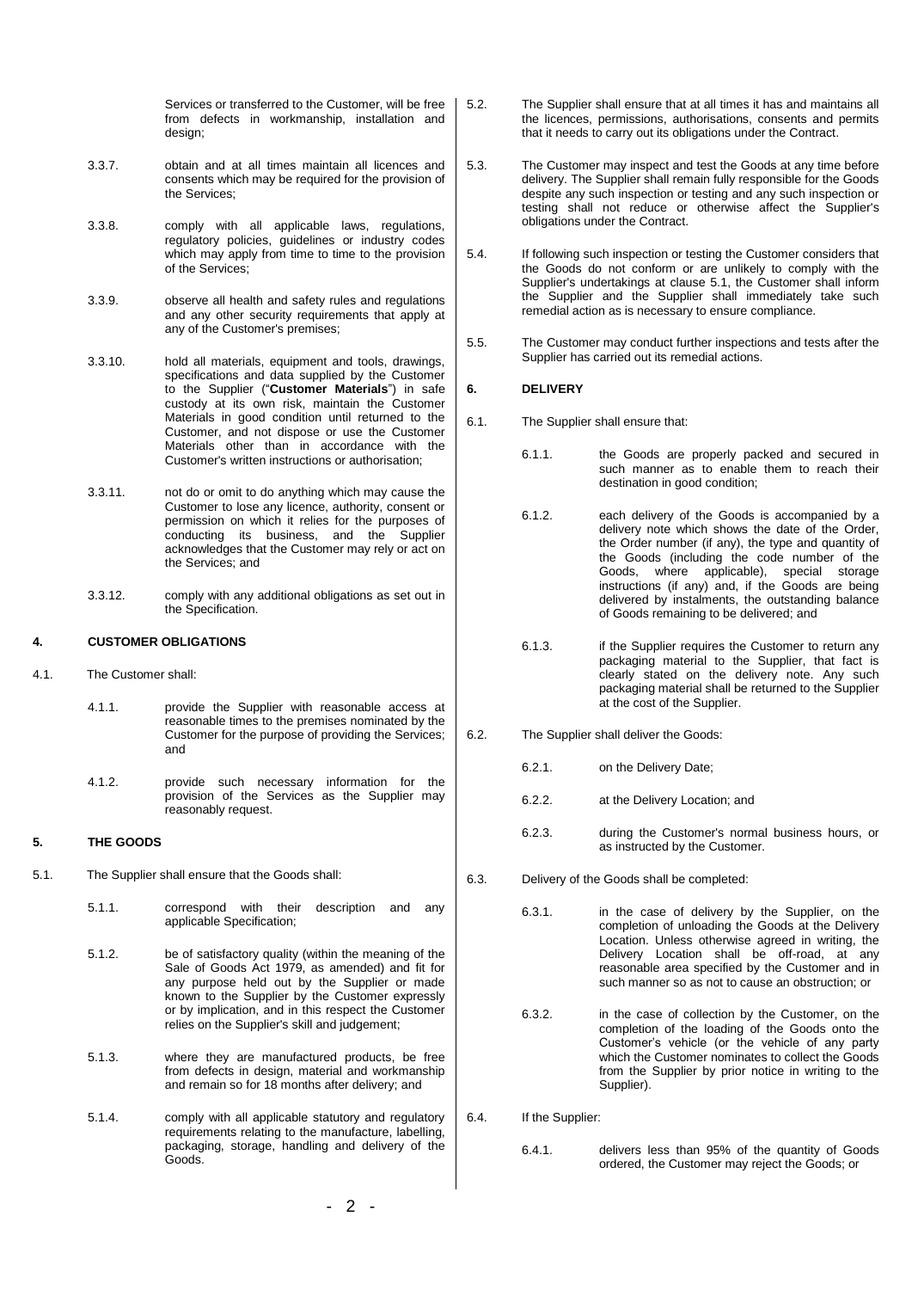Services or transferred to the Customer, will be free from defects in workmanship, installation and design;

- 3.3.7. obtain and at all times maintain all licences and consents which may be required for the provision of the Services;
- <span id="page-1-1"></span>3.3.8. comply with all applicable laws, regulations, regulatory policies, guidelines or industry codes which may apply from time to time to the provision of the Services;
- 3.3.9. observe all health and safety rules and regulations and any other security requirements that apply at any of the Customer's premises;
- 3.3.10. hold all materials, equipment and tools, drawings, specifications and data supplied by the Customer to the Supplier ("**Customer Materials**") in safe custody at its own risk, maintain the Customer Materials in good condition until returned to the Customer, and not dispose or use the Customer Materials other than in accordance with the Customer's written instructions or authorisation;
- 3.3.11. not do or omit to do anything which may cause the Customer to lose any licence, authority, consent or permission on which it relies for the purposes of conducting its business, and the Supplier acknowledges that the Customer may rely or act on the Services; and
- 3.3.12. comply with any additional obligations as set out in the Specification.

# **4. CUSTOMER OBLIGATIONS**

- 4.1. The Customer shall:
	- 4.1.1. provide the Supplier with reasonable access at reasonable times to the premises nominated by the Customer for the purpose of providing the Services; and
	- 4.1.2. provide such necessary information for the provision of the Services as the Supplier may reasonably request.

# **5. THE GOODS**

- <span id="page-1-0"></span>5.1. The Supplier shall ensure that the Goods shall:
	- 5.1.1. correspond with their description and any applicable Specification;
	- 5.1.2. be of satisfactory quality (within the meaning of the Sale of Goods Act 1979, as amended) and fit for any purpose held out by the Supplier or made known to the Supplier by the Customer expressly or by implication, and in this respect the Customer relies on the Supplier's skill and judgement;
	- 5.1.3. where they are manufactured products, be free from defects in design, material and workmanship and remain so for 18 months after delivery; and
	- 5.1.4. comply with all applicable statutory and regulatory requirements relating to the manufacture, labelling, packaging, storage, handling and delivery of the Goods.
- 5.2. The Supplier shall ensure that at all times it has and maintains all the licences, permissions, authorisations, consents and permits that it needs to carry out its obligations under the Contract.
- 5.3. The Customer may inspect and test the Goods at any time before delivery. The Supplier shall remain fully responsible for the Goods despite any such inspection or testing and any such inspection or testing shall not reduce or otherwise affect the Supplier's obligations under the Contract.
- 5.4. If following such inspection or testing the Customer considers that the Goods do not conform or are unlikely to comply with the Supplier's undertakings at clause [5.1,](#page-1-0) the Customer shall inform the Supplier and the Supplier shall immediately take such remedial action as is necessary to ensure compliance.
- 5.5. The Customer may conduct further inspections and tests after the Supplier has carried out its remedial actions.

# **6. DELIVERY**

- 6.1. The Supplier shall ensure that:
	- 6.1.1. the Goods are properly packed and secured in such manner as to enable them to reach their destination in good condition;
	- 6.1.2. each delivery of the Goods is accompanied by a delivery note which shows the date of the Order, the Order number (if any), the type and quantity of the Goods (including the code number of the Goods, where applicable), special storage instructions (if any) and, if the Goods are being delivered by instalments, the outstanding balance of Goods remaining to be delivered; and
	- 6.1.3. if the Supplier requires the Customer to return any packaging material to the Supplier, that fact is clearly stated on the delivery note. Any such packaging material shall be returned to the Supplier at the cost of the Supplier.
- 6.2. The Supplier shall deliver the Goods:
	- 6.2.1. on the Delivery Date;
	- 6.2.2. at the Delivery Location; and
	- 6.2.3. during the Customer's normal business hours, or as instructed by the Customer.
- 6.3. Delivery of the Goods shall be completed:
	- 6.3.1. in the case of delivery by the Supplier, on the completion of unloading the Goods at the Delivery Location. Unless otherwise agreed in writing, the Delivery Location shall be off-road, at any reasonable area specified by the Customer and in such manner so as not to cause an obstruction; or
	- 6.3.2. in the case of collection by the Customer, on the completion of the loading of the Goods onto the Customer's vehicle (or the vehicle of any party which the Customer nominates to collect the Goods from the Supplier by prior notice in writing to the Supplier).
- 6.4. If the Supplier:
	- 6.4.1. delivers less than 95% of the quantity of Goods ordered, the Customer may reject the Goods; or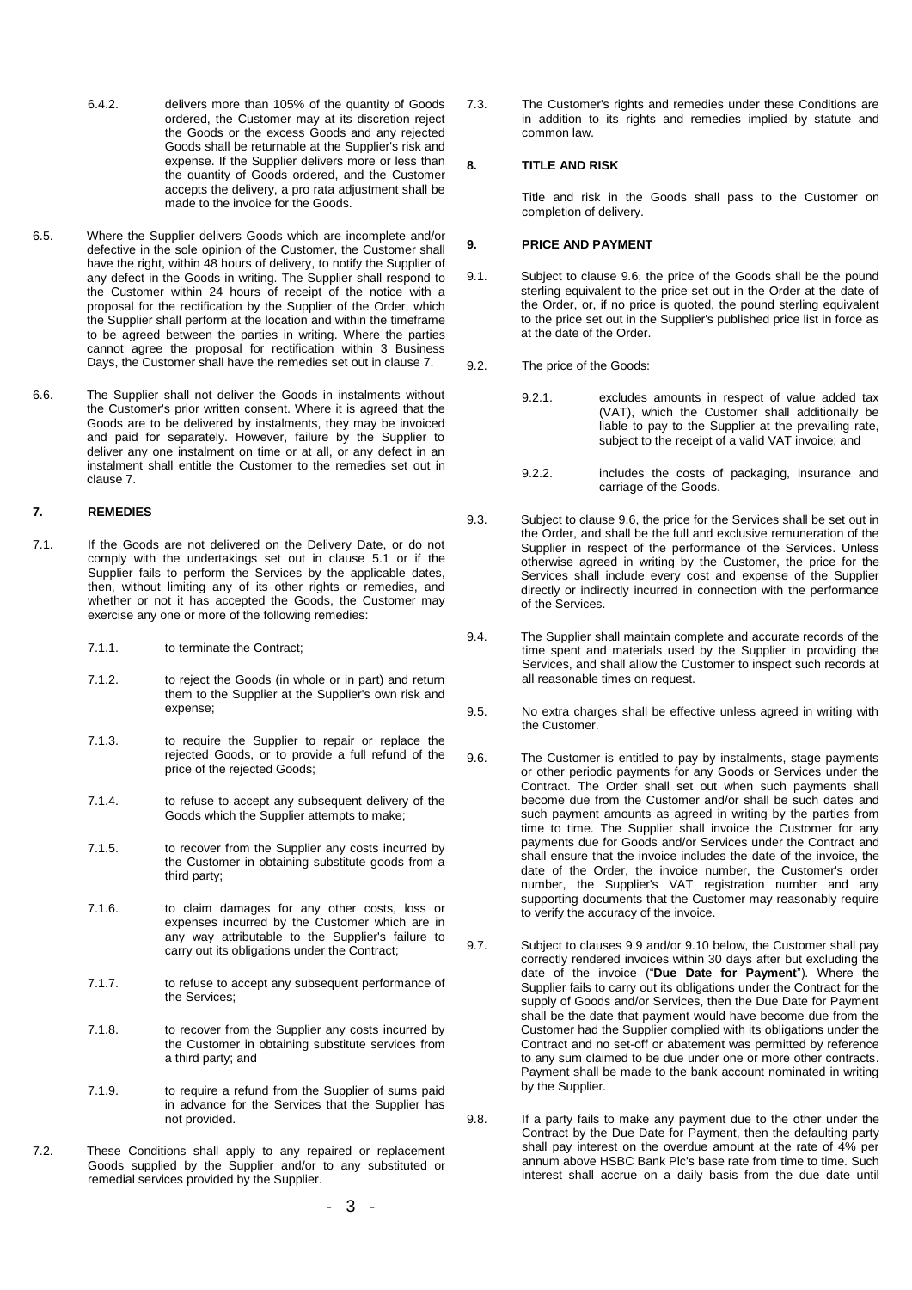- 6.4.2. delivers more than 105% of the quantity of Goods ordered, the Customer may at its discretion reject the Goods or the excess Goods and any rejected Goods shall be returnable at the Supplier's risk and expense. If the Supplier delivers more or less than the quantity of Goods ordered, and the Customer accepts the delivery, a pro rata adjustment shall be made to the invoice for the Goods.
- 6.5. Where the Supplier delivers Goods which are incomplete and/or defective in the sole opinion of the Customer, the Customer shall have the right, within 48 hours of delivery, to notify the Supplier of any defect in the Goods in writing. The Supplier shall respond to the Customer within 24 hours of receipt of the notice with a proposal for the rectification by the Supplier of the Order, which the Supplier shall perform at the location and within the timeframe to be agreed between the parties in writing. Where the parties cannot agree the proposal for rectification within 3 Business Days, the Customer shall have the remedies set out in claus[e 7.](#page-2-0)
- 6.6. The Supplier shall not deliver the Goods in instalments without the Customer's prior written consent. Where it is agreed that the Goods are to be delivered by instalments, they may be invoiced and paid for separately. However, failure by the Supplier to deliver any one instalment on time or at all, or any defect in an instalment shall entitle the Customer to the remedies set out in claus[e 7.](#page-2-0)

### <span id="page-2-0"></span>**7. REMEDIES**

- 7.1. If the Goods are not delivered on the Delivery Date, or do not comply with the undertakings set out in clause [5.1](#page-1-0) or if the Supplier fails to perform the Services by the applicable dates, then, without limiting any of its other rights or remedies, and whether or not it has accepted the Goods, the Customer may exercise any one or more of the following remedies:
	- 7.1.1. to terminate the Contract;
	- 7.1.2. to reject the Goods (in whole or in part) and return them to the Supplier at the Supplier's own risk and expense;
	- 7.1.3. to require the Supplier to repair or replace the rejected Goods, or to provide a full refund of the price of the rejected Goods;
	- 7.1.4. to refuse to accept any subsequent delivery of the Goods which the Supplier attempts to make;
	- 7.1.5. to recover from the Supplier any costs incurred by the Customer in obtaining substitute goods from a third party;
	- 7.1.6. to claim damages for any other costs, loss or expenses incurred by the Customer which are in any way attributable to the Supplier's failure to carry out its obligations under the Contract;
	- 7.1.7. to refuse to accept any subsequent performance of the Services;
	- 7.1.8. to recover from the Supplier any costs incurred by the Customer in obtaining substitute services from a third party; and
	- 7.1.9. to require a refund from the Supplier of sums paid in advance for the Services that the Supplier has not provided.
- 7.2. These Conditions shall apply to any repaired or replacement Goods supplied by the Supplier and/or to any substituted or remedial services provided by the Supplier.

7.3. The Customer's rights and remedies under these Conditions are in addition to its rights and remedies implied by statute and common law.

### **8. TITLE AND RISK**

Title and risk in the Goods shall pass to the Customer on completion of delivery.

# **9. PRICE AND PAYMENT**

- 9.1. Subject to clause 9.6, the price of the Goods shall be the pound sterling equivalent to the price set out in the Order at the date of the Order, or, if no price is quoted, the pound sterling equivalent to the price set out in the Supplier's published price list in force as at the date of the Order.
- 9.2. The price of the Goods:
	- 9.2.1. excludes amounts in respect of value added tax (VAT), which the Customer shall additionally be liable to pay to the Supplier at the prevailing rate, subject to the receipt of a valid VAT invoice; and
	- 9.2.2. includes the costs of packaging, insurance and carriage of the Goods.
- 9.3. Subject to clause [9.6,](#page-2-1) the price for the Services shall be set out in the Order, and shall be the full and exclusive remuneration of the Supplier in respect of the performance of the Services. Unless otherwise agreed in writing by the Customer, the price for the Services shall include every cost and expense of the Supplier directly or indirectly incurred in connection with the performance of the Services.
- 9.4. The Supplier shall maintain complete and accurate records of the time spent and materials used by the Supplier in providing the Services, and shall allow the Customer to inspect such records at all reasonable times on request.
- 9.5. No extra charges shall be effective unless agreed in writing with the Customer.
- <span id="page-2-1"></span>9.6. The Customer is entitled to pay by instalments, stage payments or other periodic payments for any Goods or Services under the Contract. The Order shall set out when such payments shall become due from the Customer and/or shall be such dates and such payment amounts as agreed in writing by the parties from time to time. The Supplier shall invoice the Customer for any payments due for Goods and/or Services under the Contract and shall ensure that the invoice includes the date of the invoice, the date of the Order, the invoice number, the Customer's order number, the Supplier's VAT registration number and any supporting documents that the Customer may reasonably require to verify the accuracy of the invoice.
- 9.7. Subject to clauses 9.9 and/or 9.10 below, the Customer shall pay correctly rendered invoices within 30 days after but excluding the date of the invoice ("**Due Date for Payment**"). Where the Supplier fails to carry out its obligations under the Contract for the supply of Goods and/or Services, then the Due Date for Payment shall be the date that payment would have become due from the Customer had the Supplier complied with its obligations under the Contract and no set-off or abatement was permitted by reference to any sum claimed to be due under one or more other contracts. Payment shall be made to the bank account nominated in writing by the Supplier.
- 9.8. If a party fails to make any payment due to the other under the Contract by the Due Date for Payment, then the defaulting party shall pay interest on the overdue amount at the rate of 4% per annum above HSBC Bank Plc's base rate from time to time. Such interest shall accrue on a daily basis from the due date until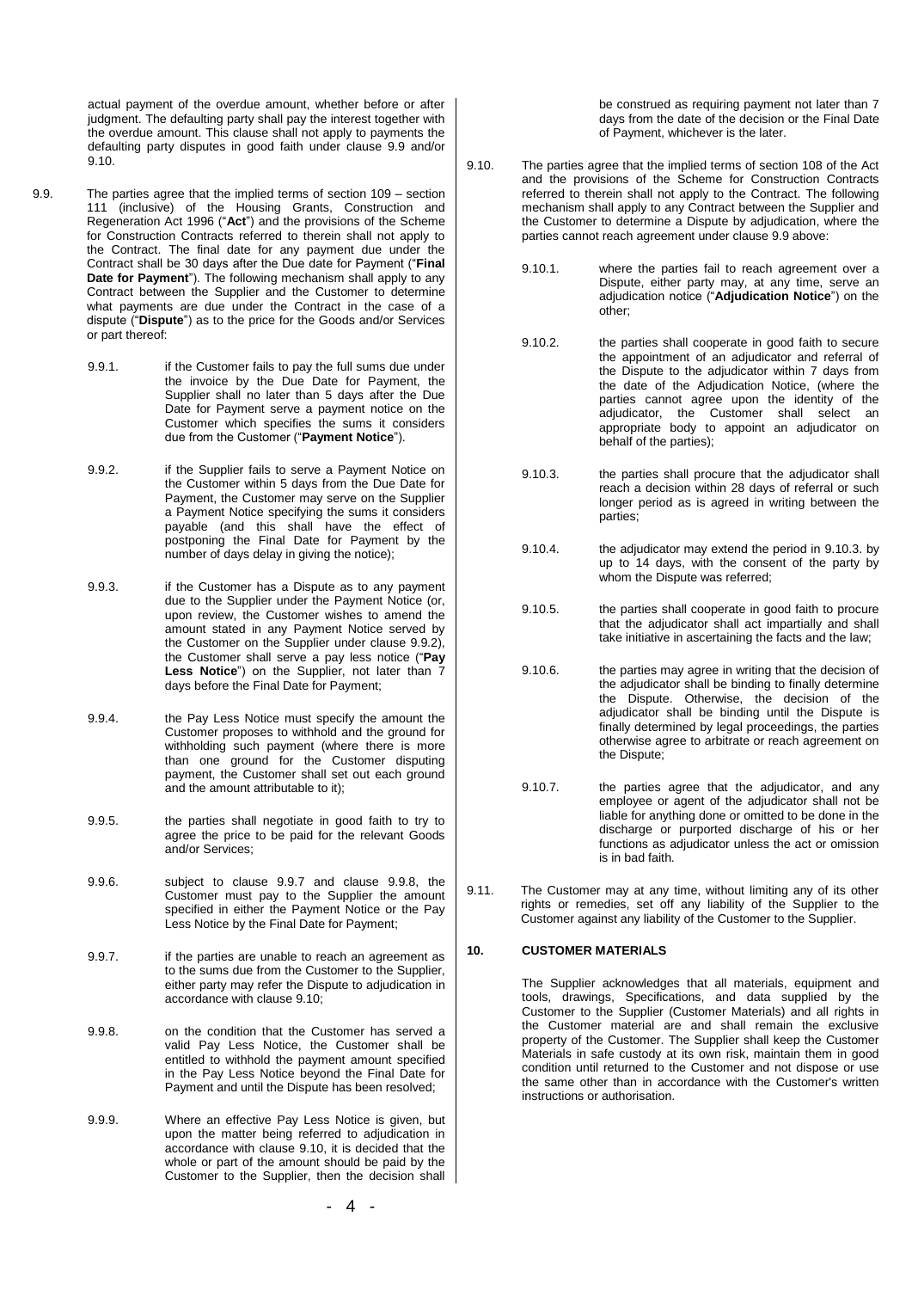actual payment of the overdue amount, whether before or after judgment. The defaulting party shall pay the interest together with the overdue amount. This clause shall not apply to payments the defaulting party disputes in good faith under clause 9.9 and/or 9.10.

- <span id="page-3-1"></span>9.9. The parties agree that the implied terms of section 109 – section 111 (inclusive) of the Housing Grants, Construction and Regeneration Act 1996 ("**Act**") and the provisions of the Scheme for Construction Contracts referred to therein shall not apply to the Contract. The final date for any payment due under the Contract shall be 30 days after the Due date for Payment ("**Final**  Date for Payment"). The following mechanism shall apply to any Contract between the Supplier and the Customer to determine what payments are due under the Contract in the case of a dispute ("**Dispute**") as to the price for the Goods and/or Services or part thereof:
	- 9.9.1. if the Customer fails to pay the full sums due under the invoice by the Due Date for Payment, the Supplier shall no later than 5 days after the Due Date for Payment serve a payment notice on the Customer which specifies the sums it considers due from the Customer ("**Payment Notice**").
	- 9.9.2. if the Supplier fails to serve a Payment Notice on the Customer within 5 days from the Due Date for Payment, the Customer may serve on the Supplier a Payment Notice specifying the sums it considers payable (and this shall have the effect of postponing the Final Date for Payment by the number of days delay in giving the notice);
	- 9.9.3. if the Customer has a Dispute as to any payment due to the Supplier under the Payment Notice (or, upon review, the Customer wishes to amend the amount stated in any Payment Notice served by the Customer on the Supplier under clause 9.9.2), the Customer shall serve a pay less notice ("**Pay**  Less Notice") on the Supplier, not later than 7 days before the Final Date for Payment;
	- 9.9.4. the Pay Less Notice must specify the amount the Customer proposes to withhold and the ground for withholding such payment (where there is more than one ground for the Customer disputing payment, the Customer shall set out each ground and the amount attributable to it);
	- 9.9.5. the parties shall negotiate in good faith to try to agree the price to be paid for the relevant Goods and/or Services;
	- 9.9.6. subject to clause 9.9.7 and clause 9.9.8, the Customer must pay to the Supplier the amount specified in either the Payment Notice or the Pay Less Notice by the Final Date for Payment;
	- 9.9.7. if the parties are unable to reach an agreement as to the sums due from the Customer to the Supplier, either party may refer the Dispute to adjudication in accordance with claus[e 9.10;](#page-3-0)
	- 9.9.8. on the condition that the Customer has served a valid Pay Less Notice, the Customer shall be entitled to withhold the payment amount specified in the Pay Less Notice beyond the Final Date for Payment and until the Dispute has been resolved;
	- 9.9.9. Where an effective Pay Less Notice is given, but upon the matter being referred to adjudication in accordance with clause [9.10,](#page-3-0) it is decided that the whole or part of the amount should be paid by the Customer to the Supplier, then the decision shall

be construed as requiring payment not later than 7 days from the date of the decision or the Final Date of Payment, whichever is the later.

- <span id="page-3-2"></span><span id="page-3-0"></span>9.10. The parties agree that the implied terms of section 108 of the Act and the provisions of the Scheme for Construction Contracts referred to therein shall not apply to the Contract. The following mechanism shall apply to any Contract between the Supplier and the Customer to determine a Dispute by adjudication, where the parties cannot reach agreement under clause [9.9](#page-3-1) above:
	- 9.10.1. where the parties fail to reach agreement over a Dispute, either party may, at any time, serve an adjudication notice ("**Adjudication Notice**") on the other;
	- 9.10.2. the parties shall cooperate in good faith to secure the appointment of an adjudicator and referral of the Dispute to the adjudicator within 7 days from the date of the Adjudication Notice, (where the parties cannot agree upon the identity of the adiudicator, the Customer shall select an appropriate body to appoint an adjudicator on behalf of the parties);
	- 9.10.3. the parties shall procure that the adjudicator shall reach a decision within 28 days of referral or such longer period as is agreed in writing between the parties;
	- 9.10.4. the adjudicator may extend the period in [9.10.3.](#page-3-2) by up to 14 days, with the consent of the party by whom the Dispute was referred;
	- 9.10.5. the parties shall cooperate in good faith to procure that the adjudicator shall act impartially and shall take initiative in ascertaining the facts and the law;
	- 9.10.6. the parties may agree in writing that the decision of the adjudicator shall be binding to finally determine the Dispute. Otherwise, the decision of the adjudicator shall be binding until the Dispute is finally determined by legal proceedings, the parties otherwise agree to arbitrate or reach agreement on the Dispute;
	- 9.10.7. the parties agree that the adjudicator, and any employee or agent of the adjudicator shall not be liable for anything done or omitted to be done in the discharge or purported discharge of his or her functions as adjudicator unless the act or omission is in bad faith.
- 9.11. The Customer may at any time, without limiting any of its other rights or remedies, set off any liability of the Supplier to the Customer against any liability of the Customer to the Supplier.

# **10. CUSTOMER MATERIALS**

The Supplier acknowledges that all materials, equipment and tools, drawings, Specifications, and data supplied by the Customer to the Supplier (Customer Materials) and all rights in the Customer material are and shall remain the exclusive property of the Customer. The Supplier shall keep the Customer Materials in safe custody at its own risk, maintain them in good condition until returned to the Customer and not dispose or use the same other than in accordance with the Customer's written instructions or authorisation.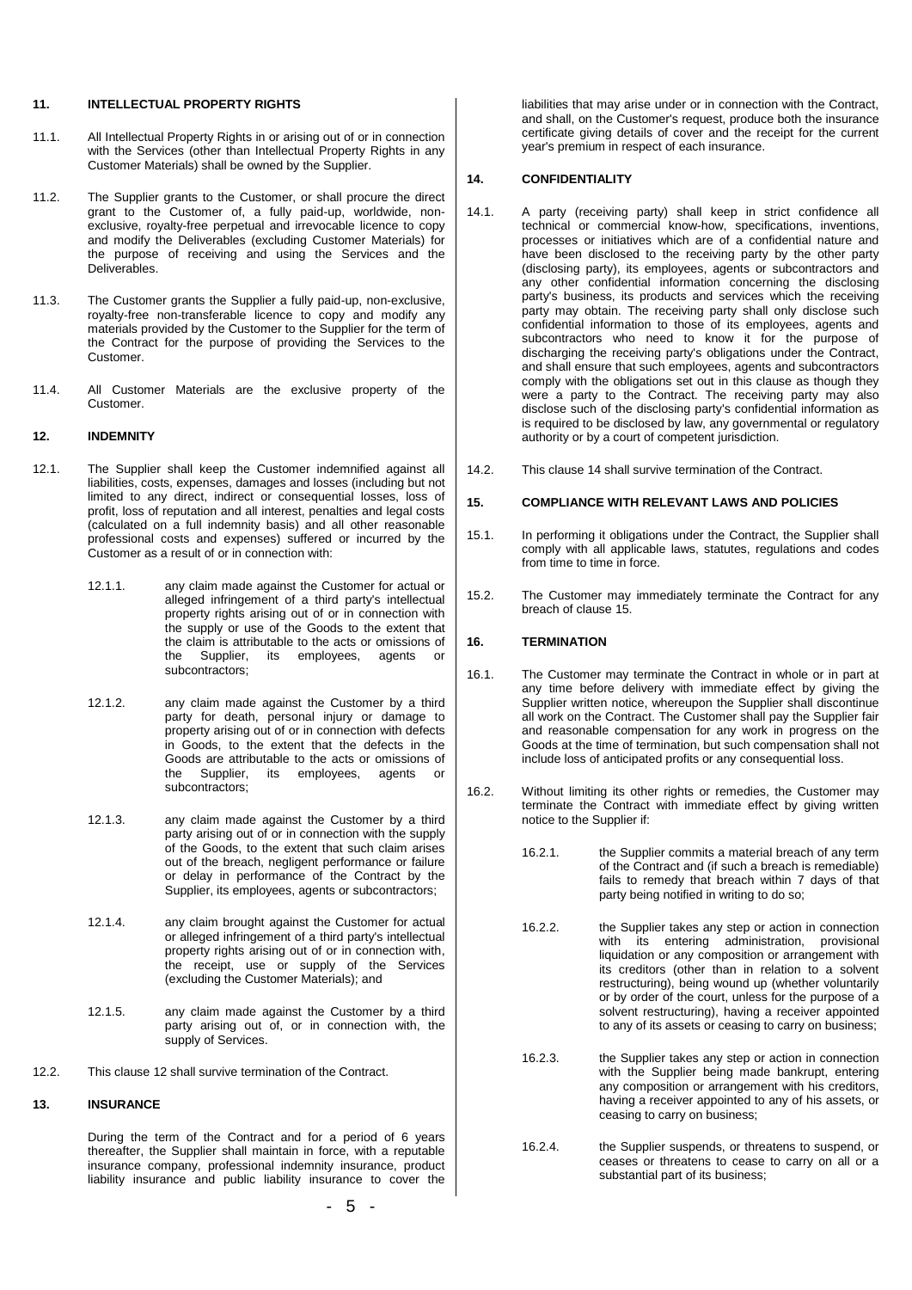#### **11. INTELLECTUAL PROPERTY RIGHTS**

- 11.1. All Intellectual Property Rights in or arising out of or in connection with the Services (other than Intellectual Property Rights in any Customer Materials) shall be owned by the Supplier.
- 11.2. The Supplier grants to the Customer, or shall procure the direct grant to the Customer of, a fully paid-up, worldwide, nonexclusive, royalty-free perpetual and irrevocable licence to copy and modify the Deliverables (excluding Customer Materials) for the purpose of receiving and using the Services and the Deliverables.
- 11.3. The Customer grants the Supplier a fully paid-up, non-exclusive, royalty-free non-transferable licence to copy and modify any materials provided by the Customer to the Supplier for the term of the Contract for the purpose of providing the Services to the Customer.
- 11.4. All Customer Materials are the exclusive property of the Customer.

# <span id="page-4-0"></span>**12. INDEMNITY**

- 12.1. The Supplier shall keep the Customer indemnified against all liabilities, costs, expenses, damages and losses (including but not limited to any direct, indirect or consequential losses, loss of profit, loss of reputation and all interest, penalties and legal costs (calculated on a full indemnity basis) and all other reasonable professional costs and expenses) suffered or incurred by the Customer as a result of or in connection with:
	- 12.1.1. any claim made against the Customer for actual or alleged infringement of a third party's intellectual property rights arising out of or in connection with the supply or use of the Goods to the extent that the claim is attributable to the acts or omissions of<br>the Supplier, its employees, agents or the Supplier, its employees, agents or subcontractors;
	- 12.1.2. any claim made against the Customer by a third party for death, personal injury or damage to property arising out of or in connection with defects in Goods, to the extent that the defects in the Goods are attributable to the acts or omissions of<br>the Supplier, its employees, agents or the Supplier, its employees, agents or subcontractors;
	- 12.1.3. any claim made against the Customer by a third party arising out of or in connection with the supply of the Goods, to the extent that such claim arises out of the breach, negligent performance or failure or delay in performance of the Contract by the Supplier, its employees, agents or subcontractors;
	- 12.1.4. any claim brought against the Customer for actual or alleged infringement of a third party's intellectual property rights arising out of or in connection with, the receipt, use or supply of the Services (excluding the Customer Materials); and
	- 12.1.5. any claim made against the Customer by a third party arising out of, or in connection with, the supply of Services.
- 12.2. This clause [12](#page-4-0) shall survive termination of the Contract.

### **13. INSURANCE**

During the term of the Contract and for a period of 6 years thereafter, the Supplier shall maintain in force, with a reputable insurance company, professional indemnity insurance, product liability insurance and public liability insurance to cover the

liabilities that may arise under or in connection with the Contract, and shall, on the Customer's request, produce both the insurance certificate giving details of cover and the receipt for the current year's premium in respect of each insurance.

#### <span id="page-4-1"></span>**14. CONFIDENTIALITY**

- 14.1. A party (receiving party) shall keep in strict confidence all technical or commercial know-how, specifications, inventions, processes or initiatives which are of a confidential nature and have been disclosed to the receiving party by the other party (disclosing party), its employees, agents or subcontractors and any other confidential information concerning the disclosing party's business, its products and services which the receiving party may obtain. The receiving party shall only disclose such confidential information to those of its employees, agents and subcontractors who need to know it for the purpose of discharging the receiving party's obligations under the Contract, and shall ensure that such employees, agents and subcontractors comply with the obligations set out in this clause as though they were a party to the Contract. The receiving party may also disclose such of the disclosing party's confidential information as is required to be disclosed by law, any governmental or regulatory authority or by a court of competent jurisdiction.
- 14.2. This claus[e 14](#page-4-1) shall survive termination of the Contract.

#### <span id="page-4-2"></span>**15. COMPLIANCE WITH RELEVANT LAWS AND POLICIES**

- 15.1. In performing it obligations under the Contract, the Supplier shall comply with all applicable laws, statutes, regulations and codes from time to time in force.
- 15.2. The Customer may immediately terminate the Contract for any breach of claus[e 15.](#page-4-2)

#### **16. TERMINATION**

- 16.1. The Customer may terminate the Contract in whole or in part at any time before delivery with immediate effect by giving the Supplier written notice, whereupon the Supplier shall discontinue all work on the Contract. The Customer shall pay the Supplier fair and reasonable compensation for any work in progress on the Goods at the time of termination, but such compensation shall not include loss of anticipated profits or any consequential loss.
- 16.2. Without limiting its other rights or remedies, the Customer may terminate the Contract with immediate effect by giving written notice to the Supplier if:
	- 16.2.1. the Supplier commits a material breach of any term of the Contract and (if such a breach is remediable) fails to remedy that breach within 7 days of that party being notified in writing to do so;
	- 16.2.2. the Supplier takes any step or action in connection with its entering administration, provisional liquidation or any composition or arrangement with its creditors (other than in relation to a solvent restructuring), being wound up (whether voluntarily or by order of the court, unless for the purpose of a solvent restructuring), having a receiver appointed to any of its assets or ceasing to carry on business;
	- 16.2.3. the Supplier takes any step or action in connection with the Supplier being made bankrupt, entering any composition or arrangement with his creditors, having a receiver appointed to any of his assets, or ceasing to carry on business;
	- 16.2.4. the Supplier suspends, or threatens to suspend, or ceases or threatens to cease to carry on all or a substantial part of its business;